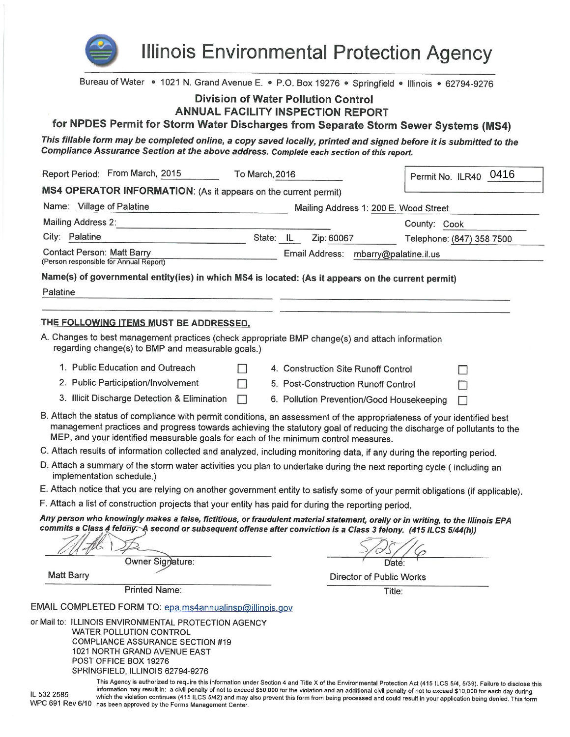

**Illinois Environmental Protection Agency** 

Bureau of Water • 1021 N. Grand Avenue E. • P.O. Box 19276 • Springfield • Illinois • 62794-9276

# **Division of Water Pollution Control**

## **ANNUAL FACILITY INSPECTION REPORT**

for NPDES Permit for Storm Water Discharges from Separate Storm Sewer Systems (MS4)

This fillable form may be completed online, a copy saved locally, printed and signed before it is submitted to the Compliance Assurance Section at the above address. Complete each section of this report.

| Report Period: From March, 2015<br>To March, 2016                                                                                                                                                                                                                                                                                                                                                    |   |           |                                           | Permit No. ILR40 0416 |                           |
|------------------------------------------------------------------------------------------------------------------------------------------------------------------------------------------------------------------------------------------------------------------------------------------------------------------------------------------------------------------------------------------------------|---|-----------|-------------------------------------------|-----------------------|---------------------------|
| MS4 OPERATOR INFORMATION: (As it appears on the current permit)                                                                                                                                                                                                                                                                                                                                      |   |           |                                           |                       |                           |
| Name: Village of Palatine                                                                                                                                                                                                                                                                                                                                                                            |   |           | Mailing Address 1: 200 E. Wood Street     |                       |                           |
| <b>Mailing Address 2:</b>                                                                                                                                                                                                                                                                                                                                                                            |   |           |                                           | County: Cook          |                           |
| City: Palatine                                                                                                                                                                                                                                                                                                                                                                                       |   | State: IL | Zip: 60067                                |                       | Telephone: (847) 358 7500 |
| <b>Contact Person: Matt Barry</b><br>(Person responsible for Annual Report)                                                                                                                                                                                                                                                                                                                          |   |           | Email Address:<br>mbarry@palatine.il.us   |                       |                           |
| Name(s) of governmental entity(ies) in which MS4 is located: (As it appears on the current permit)<br>Palatine                                                                                                                                                                                                                                                                                       |   |           |                                           |                       |                           |
| THE FOLLOWING ITEMS MUST BE ADDRESSED.                                                                                                                                                                                                                                                                                                                                                               |   |           |                                           |                       |                           |
| A. Changes to best management practices (check appropriate BMP change(s) and attach information<br>regarding change(s) to BMP and measurable goals.)                                                                                                                                                                                                                                                 |   |           |                                           |                       |                           |
| 1. Public Education and Outreach                                                                                                                                                                                                                                                                                                                                                                     |   |           | 4. Construction Site Runoff Control       |                       |                           |
| 2. Public Participation/Involvement                                                                                                                                                                                                                                                                                                                                                                  | H |           | 5. Post-Construction Runoff Control       |                       |                           |
| 3. Illicit Discharge Detection & Elimination                                                                                                                                                                                                                                                                                                                                                         | П |           | 6. Pollution Prevention/Good Housekeeping |                       |                           |
| B. Attach the status of compliance with permit conditions, an assessment of the appropriateness of your identified best<br>management practices and progress towards achieving the statutory goal of reducing the discharge of pollutants to the<br>MEP, and your identified measurable goals for each of the minimum control measures.                                                              |   |           |                                           |                       |                           |
| C. Attach results of information collected and analyzed, including monitoring data, if any during the reporting period.                                                                                                                                                                                                                                                                              |   |           |                                           |                       |                           |
| D. Attach a summary of the storm water activities you plan to undertake during the next reporting cycle (including an<br>implementation schedule.)                                                                                                                                                                                                                                                   |   |           |                                           |                       |                           |
| E. Attach notice that you are relying on another government entity to satisfy some of your permit obligations (if applicable).                                                                                                                                                                                                                                                                       |   |           |                                           |                       |                           |
| F. Attach a list of construction projects that your entity has paid for during the reporting period.                                                                                                                                                                                                                                                                                                 |   |           |                                           |                       |                           |
| Any person who knowingly makes a false, fictitious, or fraudulent material statement, orally or in writing, to the Illinois EPA<br>commits a Class 4 felony. A second or subsequent offense after conviction is a Class 3 felony. (415 ILCS 5/44(h))                                                                                                                                                 |   |           |                                           |                       |                           |
| Owner Signature:                                                                                                                                                                                                                                                                                                                                                                                     |   |           |                                           | Date:                 |                           |
| <b>Matt Barry</b>                                                                                                                                                                                                                                                                                                                                                                                    |   |           | <b>Director of Public Works</b>           |                       |                           |
| <b>Printed Name:</b>                                                                                                                                                                                                                                                                                                                                                                                 |   |           |                                           | Title:                |                           |
| EMAIL COMPLETED FORM TO: epa.ms4annualinsp@illinois.gov                                                                                                                                                                                                                                                                                                                                              |   |           |                                           |                       |                           |
| or Mail to: ILLINOIS ENVIRONMENTAL PROTECTION AGENCY<br><b>WATER POLLUTION CONTROL</b><br><b>COMPLIANCE ASSURANCE SECTION #19</b><br>1021 NORTH GRAND AVENUE EAST<br>POST OFFICE BOX 19276<br>SPRINGFIELD, ILLINOIS 62794-9276<br>This Agency is authorized to require this information under Section 4 and Title X of the Environmental Protection Act (415 ILCS 5/4, 5/39). Failure to disclose th |   |           |                                           |                       |                           |

IL 532 2585

ıis information may result in: a civil penalty of not to exceed \$50,000 for the violation and an additional civil penalty of not to exceed \$10,000 for each day during which the violation continues (415 ILCS 5/42) and may also prevent this form from being processed and could result in your application being denied. This form WPC 691 Rev 6/10 has been approved by the Forms Management Center.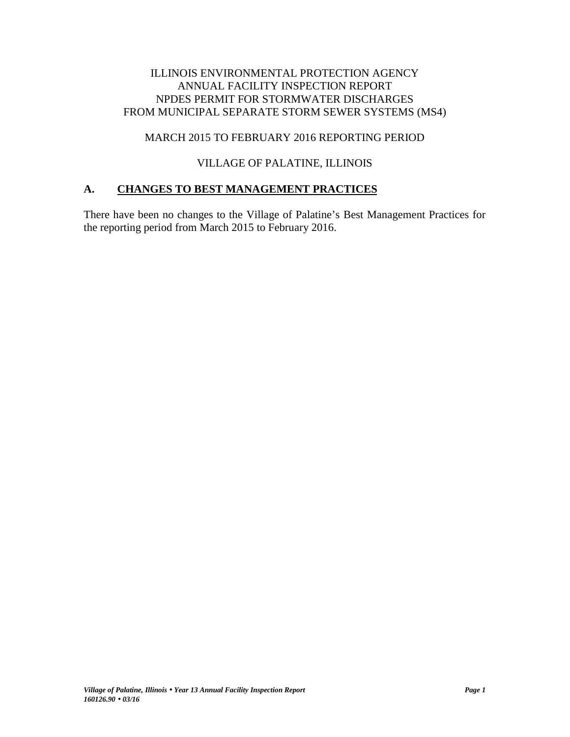# ILLINOIS ENVIRONMENTAL PROTECTION AGENCY ANNUAL FACILITY INSPECTION REPORT NPDES PERMIT FOR STORMWATER DISCHARGES FROM MUNICIPAL SEPARATE STORM SEWER SYSTEMS (MS4)

## MARCH 2015 TO FEBRUARY 2016 REPORTING PERIOD

# VILLAGE OF PALATINE, ILLINOIS

# **A. CHANGES TO BEST MANAGEMENT PRACTICES**

There have been no changes to the Village of Palatine's Best Management Practices for the reporting period from March 2015 to February 2016.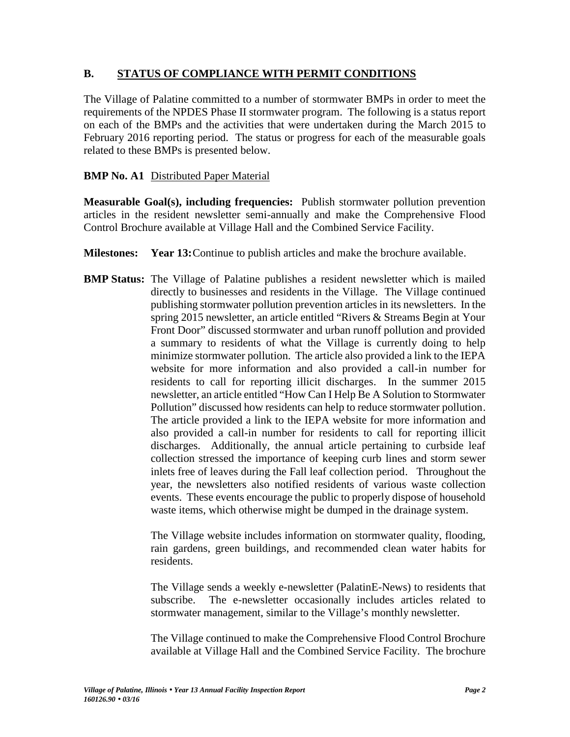## **B. STATUS OF COMPLIANCE WITH PERMIT CONDITIONS**

The Village of Palatine committed to a number of stormwater BMPs in order to meet the requirements of the NPDES Phase II stormwater program. The following is a status report on each of the BMPs and the activities that were undertaken during the March 2015 to February 2016 reporting period. The status or progress for each of the measurable goals related to these BMPs is presented below.

## **BMP No. A1** Distributed Paper Material

**Measurable Goal(s), including frequencies:** Publish stormwater pollution prevention articles in the resident newsletter semi-annually and make the Comprehensive Flood Control Brochure available at Village Hall and the Combined Service Facility.

- **Milestones: Year 13:**Continue to publish articles and make the brochure available.
- **BMP Status:** The Village of Palatine publishes a resident newsletter which is mailed directly to businesses and residents in the Village. The Village continued publishing stormwater pollution prevention articles in its newsletters. In the spring 2015 newsletter, an article entitled "Rivers & Streams Begin at Your Front Door" discussed stormwater and urban runoff pollution and provided a summary to residents of what the Village is currently doing to help minimize stormwater pollution. The article also provided a link to the IEPA website for more information and also provided a call-in number for residents to call for reporting illicit discharges. In the summer 2015 newsletter, an article entitled "How Can I Help Be A Solution to Stormwater Pollution" discussed how residents can help to reduce stormwater pollution. The article provided a link to the IEPA website for more information and also provided a call-in number for residents to call for reporting illicit discharges. Additionally, the annual article pertaining to curbside leaf collection stressed the importance of keeping curb lines and storm sewer inlets free of leaves during the Fall leaf collection period. Throughout the year, the newsletters also notified residents of various waste collection events. These events encourage the public to properly dispose of household waste items, which otherwise might be dumped in the drainage system.

The Village website includes information on stormwater quality, flooding, rain gardens, green buildings, and recommended clean water habits for residents.

The Village sends a weekly e-newsletter (PalatinE-News) to residents that subscribe. The e-newsletter occasionally includes articles related to stormwater management, similar to the Village's monthly newsletter.

The Village continued to make the Comprehensive Flood Control Brochure available at Village Hall and the Combined Service Facility. The brochure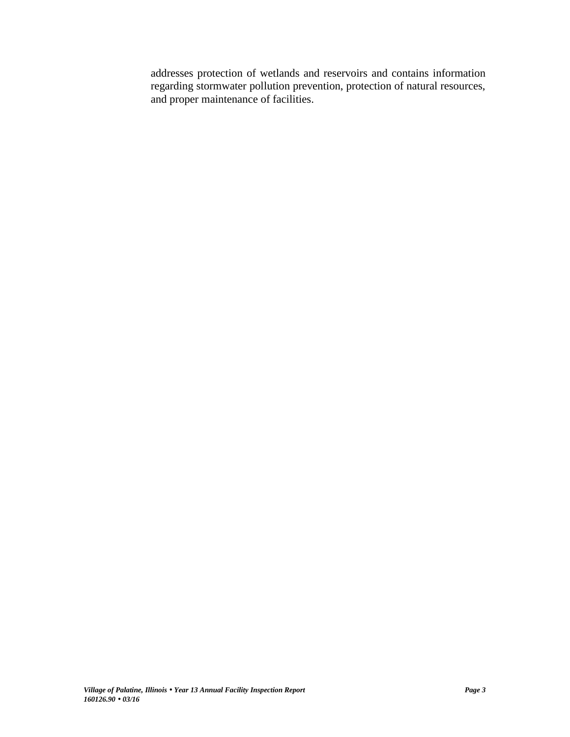addresses protection of wetlands and reservoirs and contains information regarding stormwater pollution prevention, protection of natural resources, and proper maintenance of facilities.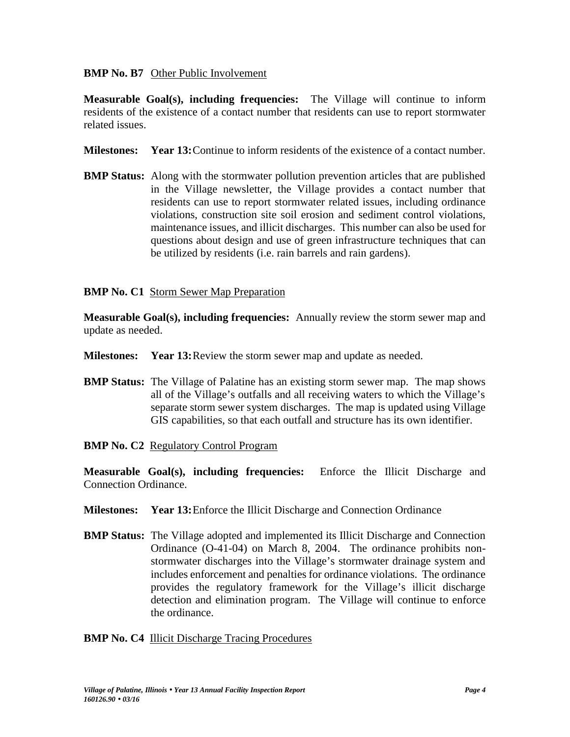## **BMP No. B7** Other Public Involvement

**Measurable Goal(s), including frequencies:** The Village will continue to inform residents of the existence of a contact number that residents can use to report stormwater related issues.

- **Milestones: Year 13:**Continue to inform residents of the existence of a contact number.
- **BMP Status:** Along with the stormwater pollution prevention articles that are published in the Village newsletter, the Village provides a contact number that residents can use to report stormwater related issues, including ordinance violations, construction site soil erosion and sediment control violations, maintenance issues, and illicit discharges. This number can also be used for questions about design and use of green infrastructure techniques that can be utilized by residents (i.e. rain barrels and rain gardens).

## **BMP No. C1** Storm Sewer Map Preparation

**Measurable Goal(s), including frequencies:** Annually review the storm sewer map and update as needed.

- **Milestones: Year 13:**Review the storm sewer map and update as needed.
- **BMP Status:** The Village of Palatine has an existing storm sewer map. The map shows all of the Village's outfalls and all receiving waters to which the Village's separate storm sewer system discharges. The map is updated using Village GIS capabilities, so that each outfall and structure has its own identifier.
- **BMP No. C2** Regulatory Control Program

**Measurable Goal(s), including frequencies:** Enforce the Illicit Discharge and Connection Ordinance.

- **Milestones: Year 13:**Enforce the Illicit Discharge and Connection Ordinance
- **BMP Status:** The Village adopted and implemented its Illicit Discharge and Connection Ordinance (O-41-04) on March 8, 2004. The ordinance prohibits non stormwater discharges into the Village's stormwater drainage system and includes enforcement and penalties for ordinance violations. The ordinance provides the regulatory framework for the Village's illicit discharge detection and elimination program. The Village will continue to enforce the ordinance.

#### **BMP No. C4 Illicit Discharge Tracing Procedures**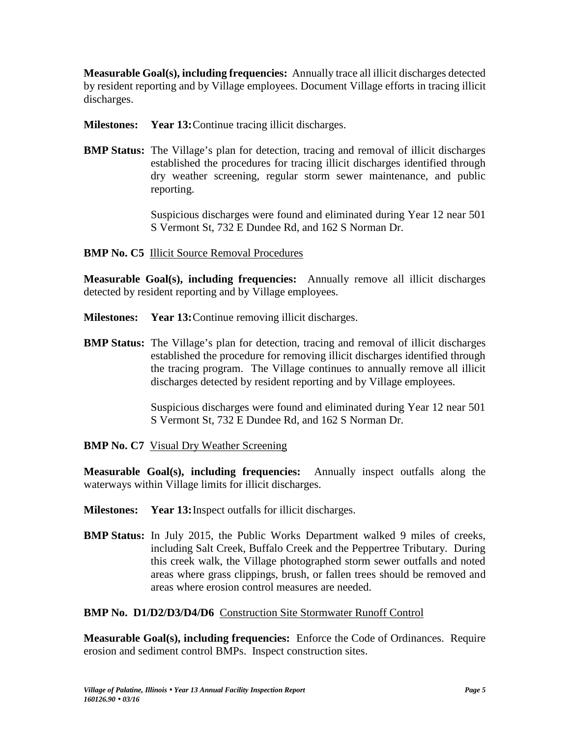**Measurable Goal(s), including frequencies:** Annually trace all illicit discharges detected by resident reporting and by Village employees. Document Village efforts in tracing illicit discharges.

**Milestones: Year 13:**Continue tracing illicit discharges.

**BMP Status:** The Village's plan for detection, tracing and removal of illicit discharges established the procedures for tracing illicit discharges identified through dry weather screening, regular storm sewer maintenance, and public reporting.

> Suspicious discharges were found and eliminated during Year 12 near 501 S Vermont St, 732 E Dundee Rd, and 162 S Norman Dr.

# **BMP No. C5** Illicit Source Removal Procedures

**Measurable Goal(s), including frequencies:** Annually remove all illicit discharges detected by resident reporting and by Village employees.

- **Milestones: Year 13:**Continue removing illicit discharges.
- **BMP Status:** The Village's plan for detection, tracing and removal of illicit discharges established the procedure for removing illicit discharges identified through the tracing program. The Village continues to annually remove all illicit discharges detected by resident reporting and by Village employees.

Suspicious discharges were found and eliminated during Year 12 near 501 S Vermont St, 732 E Dundee Rd, and 162 S Norman Dr.

**BMP No. C7** Visual Dry Weather Screening

**Measurable Goal(s), including frequencies:** Annually inspect outfalls along the waterways within Village limits for illicit discharges.

- **Milestones: Year 13:**Inspect outfalls for illicit discharges.
- **BMP Status:** In July 2015, the Public Works Department walked 9 miles of creeks, including Salt Creek, Buffalo Creek and the Peppertree Tributary. During this creek walk, the Village photographed storm sewer outfalls and noted areas where grass clippings, brush, or fallen trees should be removed and areas where erosion control measures are needed.

# **BMP No. D1/D2/D3/D4/D6** Construction Site Stormwater Runoff Control

**Measurable Goal(s), including frequencies:** Enforce the Code of Ordinances. Require erosion and sediment control BMPs. Inspect construction sites.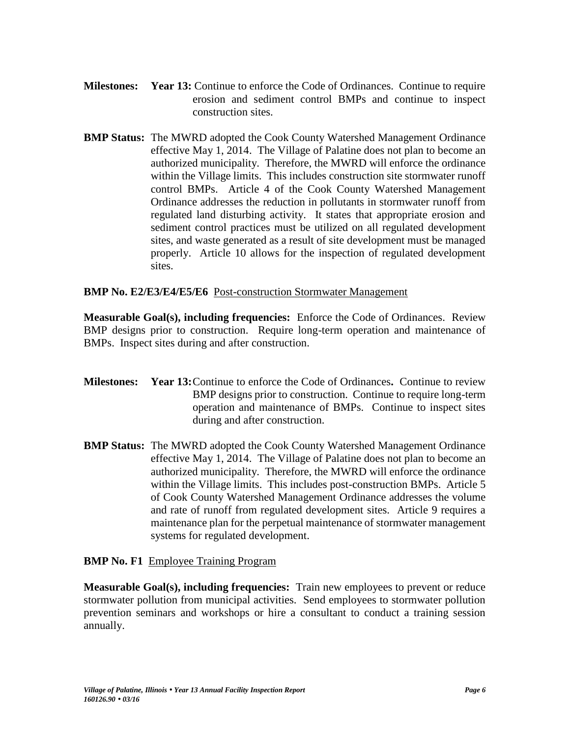- **Milestones: Year 13:** Continue to enforce the Code of Ordinances. Continue to require erosion and sediment control BMPs and continue to inspect construction sites.
- **BMP Status:** The MWRD adopted the Cook County Watershed Management Ordinance effective May 1, 2014. The Village of Palatine does not plan to become an authorized municipality. Therefore, the MWRD will enforce the ordinance within the Village limits. This includes construction site stormwater runoff control BMPs. Article 4 of the Cook County Watershed Management Ordinance addresses the reduction in pollutants in stormwater runoff from regulated land disturbing activity. It states that appropriate erosion and sediment control practices must be utilized on all regulated development sites, and waste generated as a result of site development must be managed properly. Article 10 allows for the inspection of regulated development sites.

## **BMP No. E2/E3/E4/E5/E6** Post-construction Stormwater Management

**Measurable Goal(s), including frequencies:** Enforce the Code of Ordinances. Review BMP designs prior to construction. Require long-term operation and maintenance of BMPs. Inspect sites during and after construction.

- **Milestones: Year 13:**Continue to enforce the Code of Ordinances**.** Continue to review BMP designs prior to construction. Continue to require long-term operation and maintenance of BMPs. Continue to inspect sites during and after construction.
- **BMP Status:** The MWRD adopted the Cook County Watershed Management Ordinance effective May 1, 2014. The Village of Palatine does not plan to become an authorized municipality. Therefore, the MWRD will enforce the ordinance within the Village limits. This includes post-construction BMPs. Article 5 of Cook County Watershed Management Ordinance addresses the volume and rate of runoff from regulated development sites. Article 9 requires a maintenance plan for the perpetual maintenance of stormwater management systems for regulated development.

## **BMP No. F1** Employee Training Program

**Measurable Goal(s), including frequencies:** Train new employees to prevent or reduce stormwater pollution from municipal activities. Send employees to stormwater pollution prevention seminars and workshops or hire a consultant to conduct a training session annually.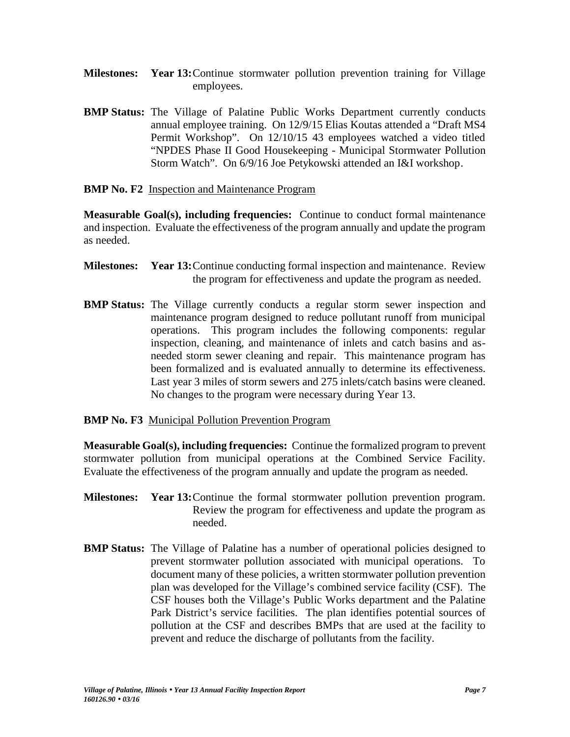- **Milestones: Year 13:**Continue stormwater pollution prevention training for Village employees.
- **BMP Status:** The Village of Palatine Public Works Department currently conducts annual employee training. On 12/9/15 Elias Koutas attended a "Draft MS4 Permit Workshop". On 12/10/15 43 employees watched a video titled "NPDES Phase II Good Housekeeping - Municipal Stormwater Pollution Storm Watch". On 6/9/16 Joe Petykowski attended an I&I workshop.
- **BMP No. F2** Inspection and Maintenance Program

**Measurable Goal(s), including frequencies:** Continue to conduct formal maintenance and inspection. Evaluate the effectiveness of the program annually and update the program as needed.

- **Milestones: Year 13:**Continue conducting formal inspection and maintenance. Review the program for effectiveness and update the program as needed.
- **BMP Status:** The Village currently conducts a regular storm sewer inspection and maintenance program designed to reduce pollutant runoff from municipal operations. This program includes the following components: regular inspection, cleaning, and maintenance of inlets and catch basins and as needed storm sewer cleaning and repair. This maintenance program has been formalized and is evaluated annually to determine its effectiveness. Last year 3 miles of storm sewers and 275 inlets/catch basins were cleaned. No changes to the program were necessary during Year 13.

## **BMP No. F3** Municipal Pollution Prevention Program

**Measurable Goal(s), including frequencies:** Continue the formalized program to prevent stormwater pollution from municipal operations at the Combined Service Facility. Evaluate the effectiveness of the program annually and update the program as needed.

- **Milestones: Year 13:**Continue the formal stormwater pollution prevention program. Review the program for effectiveness and update the program as needed.
- **BMP Status:** The Village of Palatine has a number of operational policies designed to prevent stormwater pollution associated with municipal operations. To document many of these policies, a written stormwater pollution prevention plan was developed for the Village's combined service facility (CSF). The CSF houses both the Village's Public Works department and the Palatine Park District's service facilities. The plan identifies potential sources of pollution at the CSF and describes BMPs that are used at the facility to prevent and reduce the discharge of pollutants from the facility.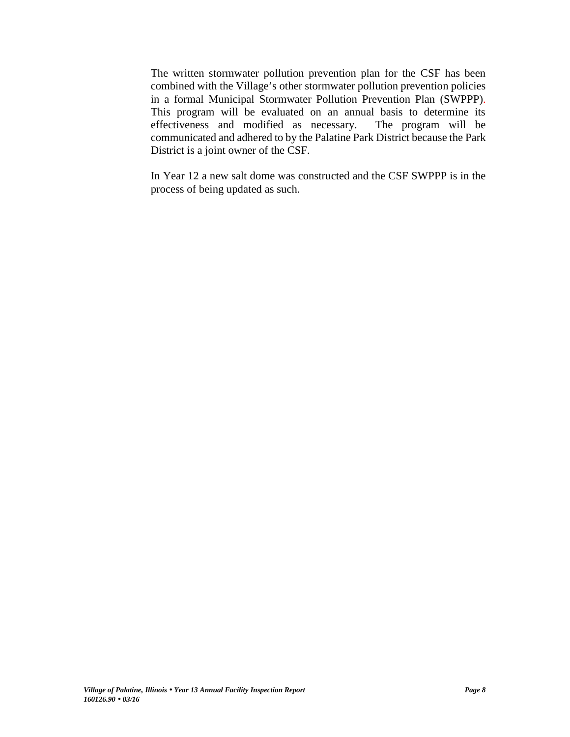The written stormwater pollution prevention plan for the CSF has been combined with the Village's other stormwater pollution prevention policies in a formal Municipal Stormwater Pollution Prevention Plan (SWPPP). This program will be evaluated on an annual basis to determine its effectiveness and modified as necessary. The program will be communicated and adhered to by the Palatine Park District because the Park District is a joint owner of the CSF.

In Year 12 a new salt dome was constructed and the CSF SWPPP is in the process of being updated as such.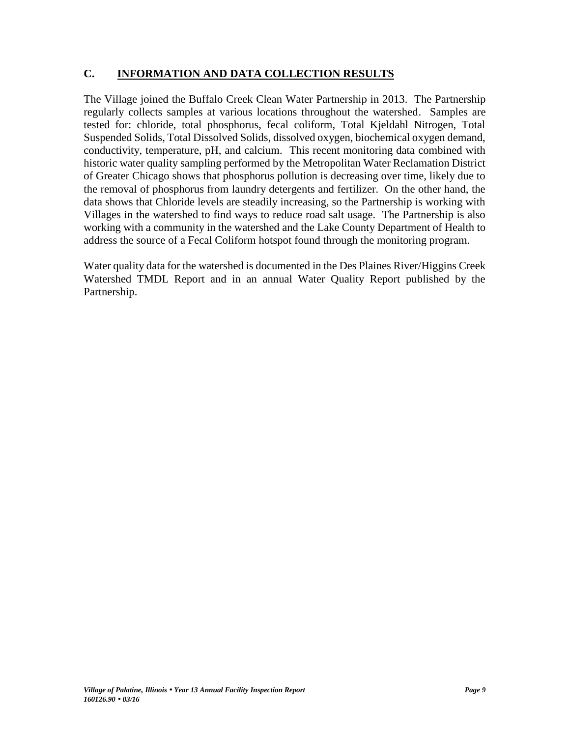# **C. INFORMATION AND DATA COLLECTION RESULTS**

The Village joined the Buffalo Creek Clean Water Partnership in 2013. The Partnership regularly collects samples at various locations throughout the watershed. Samples are tested for: chloride, total phosphorus, fecal coliform, Total Kjeldahl Nitrogen, Total Suspended Solids, Total Dissolved Solids, dissolved oxygen, biochemical oxygen demand, conductivity, temperature, pH, and calcium. This recent monitoring data combined with historic water quality sampling performed by the Metropolitan Water Reclamation District of Greater Chicago shows that phosphorus pollution is decreasing over time, likely due to the removal of phosphorus from laundry detergents and fertilizer. On the other hand, the data shows that Chloride levels are steadily increasing, so the Partnership is working with Villages in the watershed to find ways to reduce road salt usage. The Partnership is also working with a community in the watershed and the Lake County Department of Health to address the source of a Fecal Coliform hotspot found through the monitoring program.

Water quality data for the watershed is documented in the Des Plaines River/Higgins Creek Watershed TMDL Report and in an annual Water Quality Report published by the Partnership.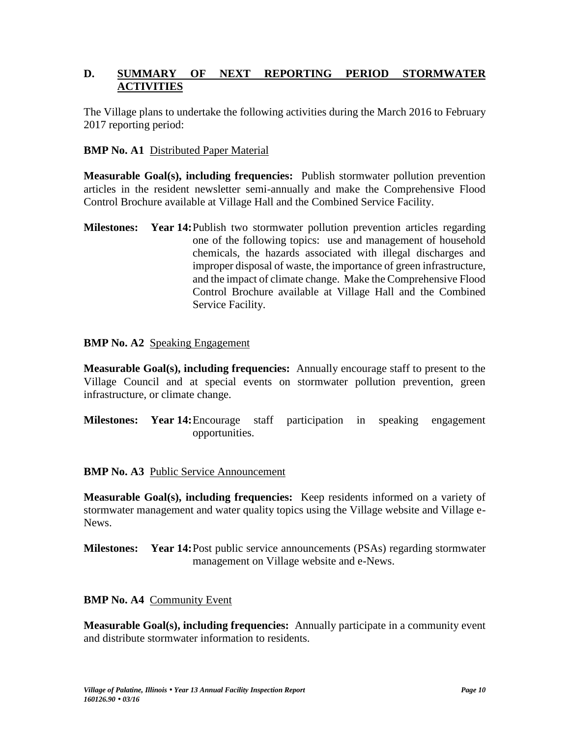# **D. SUMMARY OF NEXT REPORTING PERIOD STORMWATER ACTIVITIES**

The Village plans to undertake the following activities during the March 2016 to February 2017 reporting period:

## **BMP No. A1** Distributed Paper Material

**Measurable Goal(s), including frequencies:** Publish stormwater pollution prevention articles in the resident newsletter semi-annually and make the Comprehensive Flood Control Brochure available at Village Hall and the Combined Service Facility.

**Milestones: Year 14:**Publish two stormwater pollution prevention articles regarding one of the following topics: use and management of household chemicals, the hazards associated with illegal discharges and improper disposal of waste, the importance of green infrastructure, and the impact of climate change. Make the Comprehensive Flood Control Brochure available at Village Hall and the Combined Service Facility.

### **BMP No. A2** Speaking Engagement

**Measurable Goal(s), including frequencies:** Annually encourage staff to present to the Village Council and at special events on stormwater pollution prevention, green infrastructure, or climate change.

**Milestones: Year 14:**Encourage staff participation in speaking engagement opportunities.

#### **BMP No. A3** Public Service Announcement

**Measurable Goal(s), including frequencies:** Keep residents informed on a variety of stormwater management and water quality topics using the Village website and Village e- News.

**Milestones: Year 14:**Post public service announcements (PSAs) regarding stormwater management on Village website and e-News.

#### **BMP No. A4** Community Event

**Measurable Goal(s), including frequencies:** Annually participate in a community event and distribute stormwater information to residents.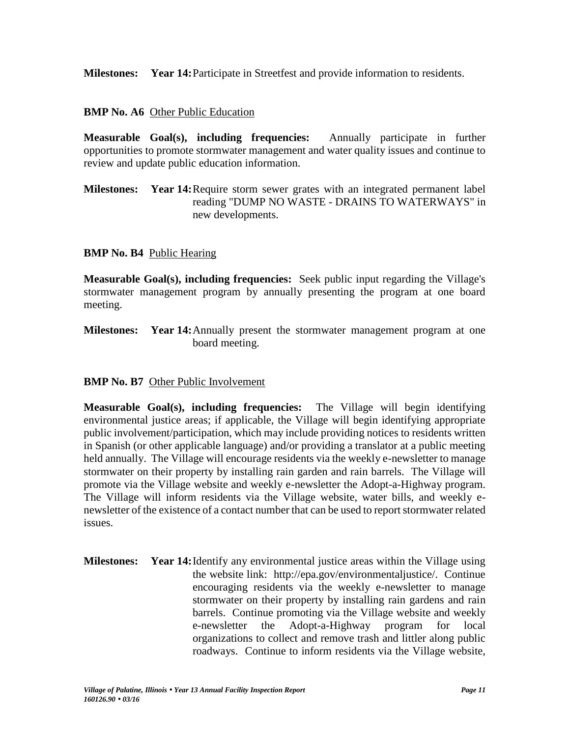**Milestones: Year 14:**Participate in Streetfest and provide information to residents.

## **BMP No. A6** Other Public Education

**Measurable Goal(s), including frequencies:** Annually participate in further opportunities to promote stormwater management and water quality issues and continue to review and update public education information.

**Milestones: Year 14:**Require storm sewer grates with an integrated permanent label reading "DUMP NO WASTE - DRAINS TO WATERWAYS" in new developments.

## **BMP No. B4** Public Hearing

**Measurable Goal(s), including frequencies:** Seek public input regarding the Village's stormwater management program by annually presenting the program at one board meeting.

**Milestones: Year 14:**Annually present the stormwater management program at one board meeting.

# **BMP No. B7** Other Public Involvement

**Measurable Goal(s), including frequencies:** The Village will begin identifying environmental justice areas; if applicable, the Village will begin identifying appropriate public involvement/participation, which may include providing notices to residents written in Spanish (or other applicable language) and/or providing a translator at a public meeting held annually. The Village will encourage residents via the weekly e-newsletter to manage stormwater on their property by installing rain garden and rain barrels. The Village will promote via the Village website and weekly e-newsletter the Adopt-a-Highway program. The Village will inform residents via the Village website, water bills, and weekly e newsletter of the existence of a contact number that can be used to report stormwater related issues.

**Milestones: Year 14:**Identify any environmental justice areas within the Village using the website link: http://epa.gov/environmentaljustice/. Continue encouraging residents via the weekly e-newsletter to manage stormwater on their property by installing rain gardens and rain barrels. Continue promoting via the Village website and weekly e-newsletter the Adopt-a-Highway program for local organizations to collect and remove trash and littler along public roadways. Continue to inform residents via the Village website,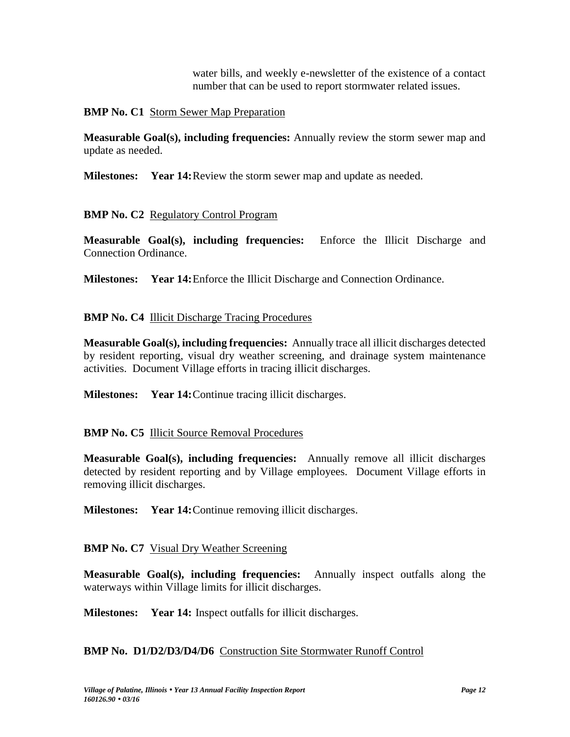water bills, and weekly e-newsletter of the existence of a contact number that can be used to report stormwater related issues.

**BMP No. C1** Storm Sewer Map Preparation

**Measurable Goal(s), including frequencies:** Annually review the storm sewer map and update as needed.

**Milestones: Year 14:**Review the storm sewer map and update as needed.

**BMP No. C2** Regulatory Control Program

**Measurable Goal(s), including frequencies:** Enforce the Illicit Discharge and Connection Ordinance.

**Milestones: Year 14:**Enforce the Illicit Discharge and Connection Ordinance.

# **BMP No. C4 Illicit Discharge Tracing Procedures**

**Measurable Goal(s), including frequencies:** Annually trace all illicit discharges detected by resident reporting, visual dry weather screening, and drainage system maintenance activities. Document Village efforts in tracing illicit discharges.

**Milestones: Year 14:**Continue tracing illicit discharges.

# **BMP No. C5** Illicit Source Removal Procedures

**Measurable Goal(s), including frequencies:** Annually remove all illicit discharges detected by resident reporting and by Village employees. Document Village efforts in removing illicit discharges.

**Milestones: Year 14:**Continue removing illicit discharges.

# **BMP No. C7** Visual Dry Weather Screening

**Measurable Goal(s), including frequencies:** Annually inspect outfalls along the waterways within Village limits for illicit discharges.

**Milestones: Year 14:** Inspect outfalls for illicit discharges.

## **BMP No. D1/D2/D3/D4/D6** Construction Site Stormwater Runoff Control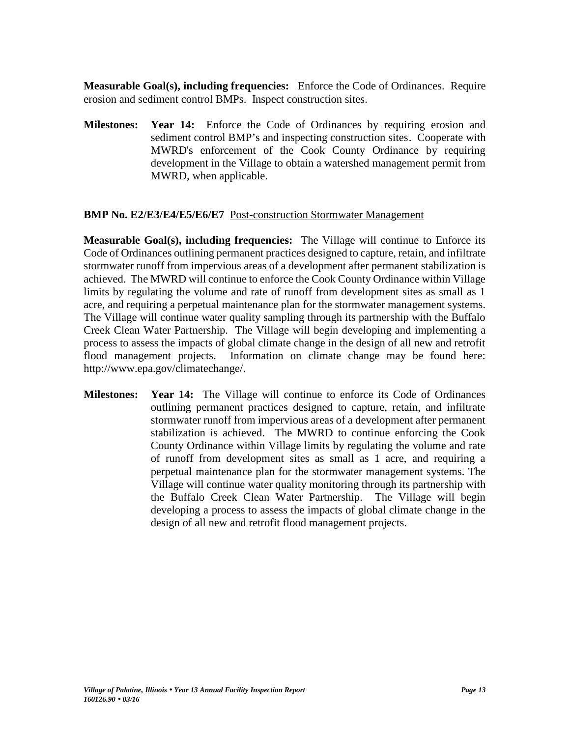**Measurable Goal(s), including frequencies:** Enforce the Code of Ordinances. Require erosion and sediment control BMPs. Inspect construction sites.

**Milestones: Year 14:** Enforce the Code of Ordinances by requiring erosion and sediment control BMP's and inspecting construction sites. Cooperate with MWRD's enforcement of the Cook County Ordinance by requiring development in the Village to obtain a watershed management permit from MWRD, when applicable.

## **BMP No. E2/E3/E4/E5/E6/E7** Post-construction Stormwater Management

**Measurable Goal(s), including frequencies:** The Village will continue to Enforce its Code of Ordinances outlining permanent practices designed to capture, retain, and infiltrate stormwater runoff from impervious areas of a development after permanent stabilization is achieved. The MWRD will continue to enforce the Cook County Ordinance within Village limits by regulating the volume and rate of runoff from development sites as small as 1 acre, and requiring a perpetual maintenance plan for the stormwater management systems. The Village will continue water quality sampling through its partnership with the Buffalo Creek Clean Water Partnership. The Village will begin developing and implementing a process to assess the impacts of global climate change in the design of all new and retrofit flood management projects. Information on climate change may be found here: http://www.epa.gov/climatechange/.

**Milestones: Year 14:** The Village will continue to enforce its Code of Ordinances outlining permanent practices designed to capture, retain, and infiltrate stormwater runoff from impervious areas of a development after permanent stabilization is achieved. The MWRD to continue enforcing the Cook County Ordinance within Village limits by regulating the volume and rate of runoff from development sites as small as 1 acre, and requiring a perpetual maintenance plan for the stormwater management systems. The Village will continue water quality monitoring through its partnership with the Buffalo Creek Clean Water Partnership. The Village will begin developing a process to assess the impacts of global climate change in the design of all new and retrofit flood management projects.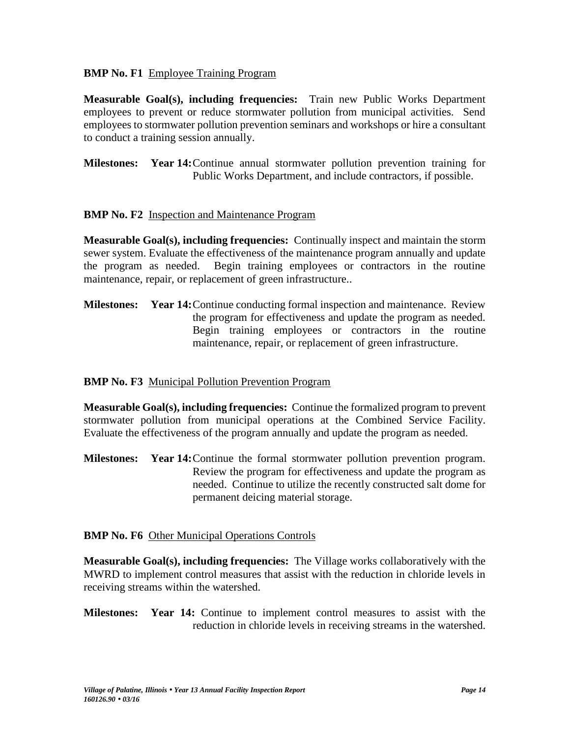## **BMP No. F1** Employee Training Program

**Measurable Goal(s), including frequencies:** Train new Public Works Department employees to prevent or reduce stormwater pollution from municipal activities. Send employees to stormwater pollution prevention seminars and workshops or hire a consultant to conduct a training session annually.

**Milestones: Year 14:**Continue annual stormwater pollution prevention training for Public Works Department, and include contractors, if possible.

## **BMP No. F2** Inspection and Maintenance Program

**Measurable Goal(s), including frequencies:** Continually inspect and maintain the storm sewer system. Evaluate the effectiveness of the maintenance program annually and update the program as needed. Begin training employees or contractors in the routine maintenance, repair, or replacement of green infrastructure..

**Milestones: Year 14:**Continue conducting formal inspection and maintenance. Review the program for effectiveness and update the program as needed. Begin training employees or contractors in the routine maintenance, repair, or replacement of green infrastructure.

# **BMP No. F3** Municipal Pollution Prevention Program

**Measurable Goal(s), including frequencies:** Continue the formalized program to prevent stormwater pollution from municipal operations at the Combined Service Facility. Evaluate the effectiveness of the program annually and update the program as needed.

**Milestones: Year 14:**Continue the formal stormwater pollution prevention program. Review the program for effectiveness and update the program as needed. Continue to utilize the recently constructed salt dome for permanent deicing material storage.

## **BMP No. F6** Other Municipal Operations Controls

**Measurable Goal(s), including frequencies:** The Village works collaboratively with the MWRD to implement control measures that assist with the reduction in chloride levels in receiving streams within the watershed.

**Milestones: Year 14:** Continue to implement control measures to assist with the reduction in chloride levels in receiving streams in the watershed.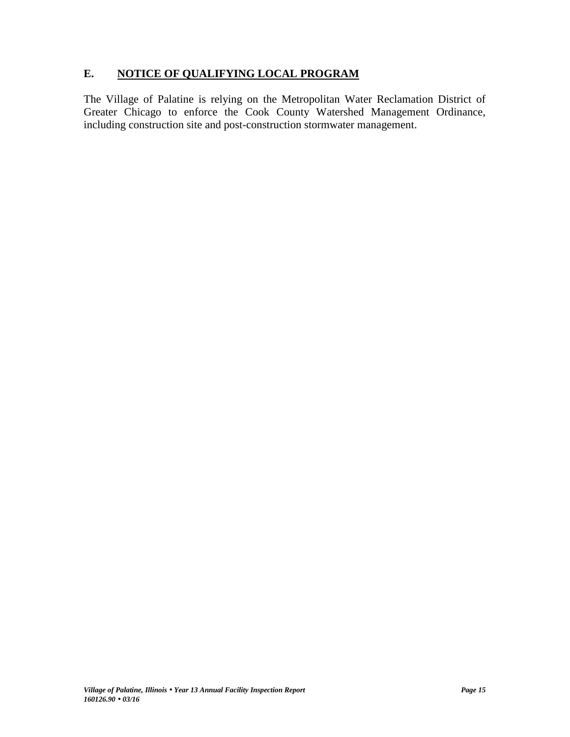# **E. NOTICE OF QUALIFYING LOCAL PROGRAM**

The Village of Palatine is relying on the Metropolitan Water Reclamation District of Greater Chicago to enforce the Cook County Watershed Management Ordinance, including construction site and post-construction stormwater management.